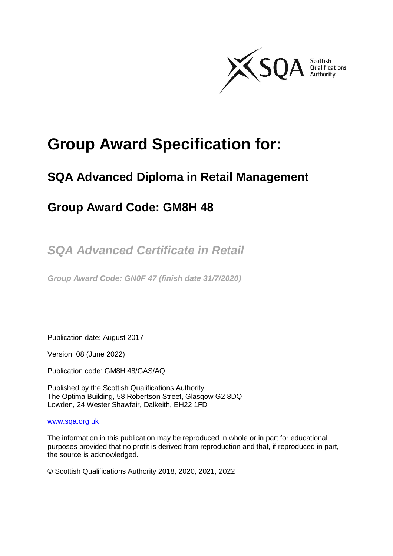

# **Group Award Specification for:**

## **SQA Advanced Diploma in Retail Management**

## **Group Award Code: GM8H 48**

*SQA Advanced Certificate in Retail* 

*Group Award Code: GN0F 47 (finish date 31/7/2020)*

Publication date: August 2017

Version: 08 (June 2022)

Publication code: GM8H 48/GAS/AQ

Published by the Scottish Qualifications Authority The Optima Building, 58 Robertson Street, Glasgow G2 8DQ Lowden, 24 Wester Shawfair, Dalkeith, EH22 1FD

#### [www.sqa.org.uk](http://www.sqa.org.uk/)

The information in this publication may be reproduced in whole or in part for educational purposes provided that no profit is derived from reproduction and that, if reproduced in part, the source is acknowledged.

© Scottish Qualifications Authority 2018, 2020, 2021, 2022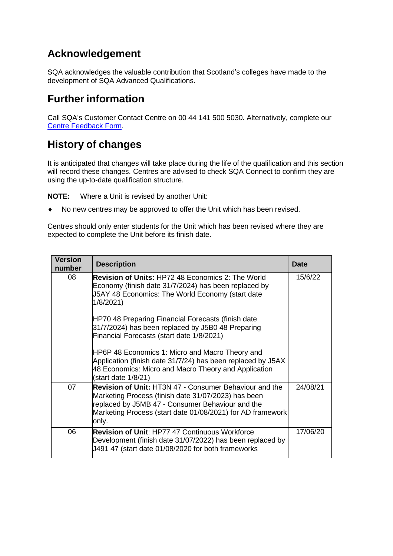## **Acknowledgement**

SQA acknowledges the valuable contribution that Scotland's colleges have made to the development of SQA Advanced Qualifications.

## **Furtherinformation**

Call SQA's Customer Contact Centre on 00 44 141 500 5030. Alternatively, complete our [Centre Feedback](https://www.sqa.org.uk/sqa/77338.html?id=2) Form.

## **History of changes**

It is anticipated that changes will take place during the life of the qualification and this section will record these changes. Centres are advised to check SQA Connect to confirm they are using the up-to-date qualification structure.

**NOTE:** Where a Unit is revised by another Unit:

No new centres may be approved to offer the Unit which has been revised.

Centres should only enter students for the Unit which has been revised where they are expected to complete the Unit before its finish date.

| <b>Version</b><br>number | <b>Description</b>                                                                                                                                                                                                                              | <b>Date</b> |
|--------------------------|-------------------------------------------------------------------------------------------------------------------------------------------------------------------------------------------------------------------------------------------------|-------------|
| 08                       | <b>Revision of Units: HP72 48 Economics 2: The World</b><br>Economy (finish date 31/7/2024) has been replaced by<br>J5AY 48 Economics: The World Economy (start date<br>1/8/2021)                                                               | 15/6/22     |
|                          | HP70 48 Preparing Financial Forecasts (finish date<br>31/7/2024) has been replaced by J5B0 48 Preparing<br>Financial Forecasts (start date 1/8/2021)                                                                                            |             |
|                          | HP6P 48 Economics 1: Micro and Macro Theory and<br>Application (finish date 31/7/24) has been replaced by J5AX<br>48 Economics: Micro and Macro Theory and Application<br>(start date 1/8/21)                                                   |             |
| 07                       | <b>Revision of Unit:</b> HT3N 47 - Consumer Behaviour and the<br>Marketing Process (finish date 31/07/2023) has been<br>replaced by J5MB 47 - Consumer Behaviour and the<br>Marketing Process (start date 01/08/2021) for AD framework<br>only. | 24/08/21    |
| 06                       | <b>Revision of Unit: HP77 47 Continuous Workforce</b><br>Development (finish date 31/07/2022) has been replaced by<br>J491 47 (start date 01/08/2020 for both frameworks                                                                        | 17/06/20    |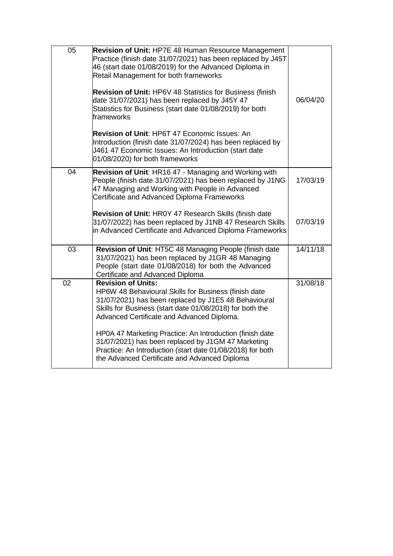| 05 | <b>Revision of Unit: HP7E 48 Human Resource Management</b><br>Practice (finish date 31/07/2021) has been replaced by J45T<br>46 (start date 01/08/2019) for the Advanced Diploma in<br>Retail Management for both frameworks<br><b>Revision of Unit: HP6V 48 Statistics for Business (finish</b><br>date 31/07/2021) has been replaced by J45Y 47<br>Statistics for Business (start date 01/08/2019) for both<br>frameworks | 06/04/20 |
|----|-----------------------------------------------------------------------------------------------------------------------------------------------------------------------------------------------------------------------------------------------------------------------------------------------------------------------------------------------------------------------------------------------------------------------------|----------|
|    | <b>Revision of Unit: HP6T 47 Economic Issues: An</b><br>Introduction (finish date 31/07/2024) has been replaced by<br>J461 47 Economic Issues: An Introduction (start date<br>01/08/2020) for both frameworks                                                                                                                                                                                                               |          |
| 04 | Revision of Unit: HR16 47 - Managing and Working with<br>People (finish date 31/07/2021) has been replaced by J1NG<br>47 Managing and Working with People in Advanced<br>Certificate and Advanced Diploma Frameworks                                                                                                                                                                                                        | 17/03/19 |
|    | <b>Revision of Unit: HROY 47 Research Skills (finish date</b><br>31/07/2022) has been replaced by J1NB 47 Research Skills<br>in Advanced Certificate and Advanced Diploma Frameworks                                                                                                                                                                                                                                        | 07/03/19 |
| 03 | Revision of Unit: HT5C 48 Managing People (finish date<br>31/07/2021) has been replaced by J1GR 48 Managing<br>People (start date 01/08/2018) for both the Advanced<br>Certificate and Advanced Diploma                                                                                                                                                                                                                     | 14/11/18 |
| 02 | <b>Revision of Units:</b><br>HP6W 48 Behavioural Skills for Business (finish date<br>31/07/2021) has been replaced by J1E5 48 Behavioural<br>Skills for Business (start date 01/08/2018) for both the<br>Advanced Certificate and Advanced Diploma.                                                                                                                                                                         | 31/08/18 |
|    | HP0A 47 Marketing Practice: An Introduction (finish date<br>31/07/2021) has been replaced by J1GM 47 Marketing<br>Practice: An Introduction (start date 01/08/2018) for both<br>the Advanced Certificate and Advanced Diploma                                                                                                                                                                                               |          |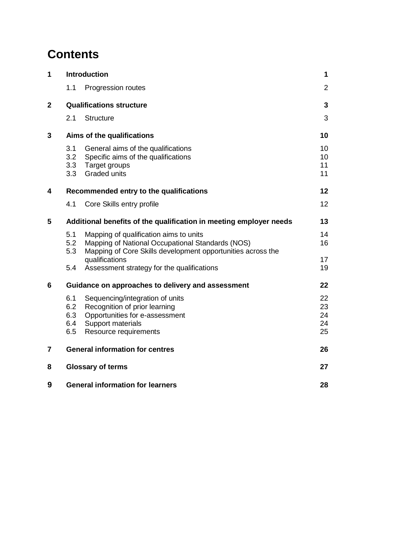# **Contents**

| 1            |                                               | <b>Introduction</b>                                                                                                                                                         | 1                          |  |  |  |  |  |
|--------------|-----------------------------------------------|-----------------------------------------------------------------------------------------------------------------------------------------------------------------------------|----------------------------|--|--|--|--|--|
|              | 1.1                                           | Progression routes                                                                                                                                                          | $\overline{2}$             |  |  |  |  |  |
| $\mathbf{2}$ |                                               | <b>Qualifications structure</b>                                                                                                                                             | 3                          |  |  |  |  |  |
|              | 2.1                                           | <b>Structure</b>                                                                                                                                                            | 3                          |  |  |  |  |  |
| 3            |                                               | Aims of the qualifications                                                                                                                                                  | 10                         |  |  |  |  |  |
|              | 3.1<br>3.2<br>3.3<br>3.3                      | General aims of the qualifications<br>Specific aims of the qualifications<br>Target groups<br><b>Graded units</b>                                                           | 10<br>10<br>11<br>11       |  |  |  |  |  |
| 4            |                                               | Recommended entry to the qualifications                                                                                                                                     | 12                         |  |  |  |  |  |
|              | 4.1                                           | Core Skills entry profile                                                                                                                                                   | 12                         |  |  |  |  |  |
| 5            |                                               | Additional benefits of the qualification in meeting employer needs                                                                                                          | 13                         |  |  |  |  |  |
|              | 5.1<br>5.2<br>5.3                             | Mapping of qualification aims to units<br>Mapping of National Occupational Standards (NOS)<br>Mapping of Core Skills development opportunities across the<br>qualifications | 14<br>16<br>17             |  |  |  |  |  |
|              | 5.4                                           | Assessment strategy for the qualifications                                                                                                                                  | 19                         |  |  |  |  |  |
| 6            |                                               | Guidance on approaches to delivery and assessment                                                                                                                           | 22                         |  |  |  |  |  |
|              | 6.1<br>6.2<br>6.3<br>6.4<br>6.5               | Sequencing/integration of units<br>Recognition of prior learning<br>Opportunities for e-assessment<br>Support materials<br>Resource requirements                            | 22<br>23<br>24<br>24<br>25 |  |  |  |  |  |
| 7            |                                               | <b>General information for centres</b>                                                                                                                                      | 26                         |  |  |  |  |  |
| 8            |                                               | <b>Glossary of terms</b>                                                                                                                                                    | 27                         |  |  |  |  |  |
| 9            | <b>General information for learners</b><br>28 |                                                                                                                                                                             |                            |  |  |  |  |  |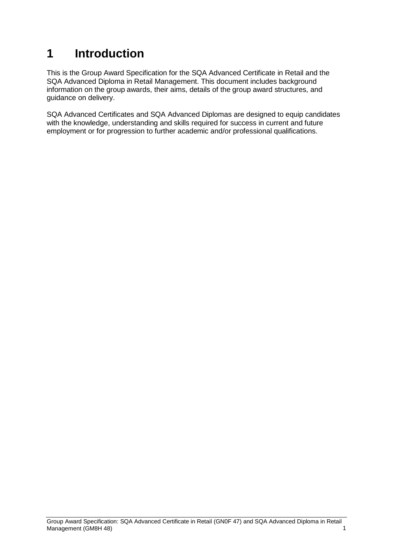# <span id="page-4-0"></span>**1 Introduction**

This is the Group Award Specification for the SQA Advanced Certificate in Retail and the SQA Advanced Diploma in Retail Management. This document includes background information on the group awards, their aims, details of the group award structures, and guidance on delivery.

SQA Advanced Certificates and SQA Advanced Diplomas are designed to equip candidates with the knowledge, understanding and skills required for success in current and future employment or for progression to further academic and/or professional qualifications.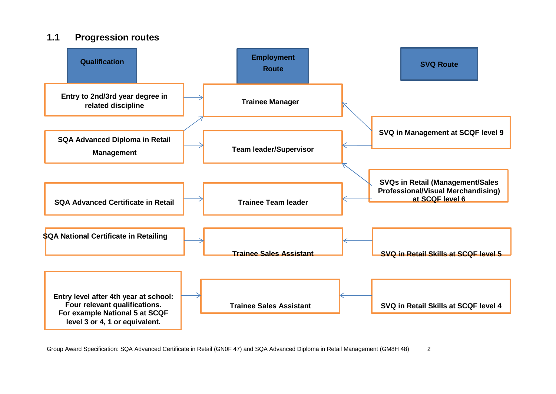### **1.1 Progression routes**

<span id="page-5-0"></span>

Group Award Specification: SQA Advanced Certificate in Retail (GN0F 47) and SQA Advanced Diploma in Retail Management (GM8H 48) 2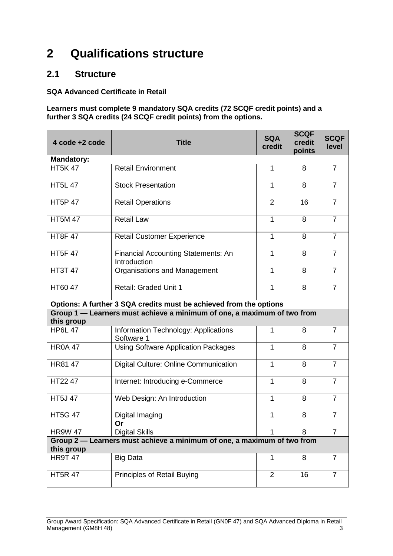# <span id="page-6-0"></span>**2 Qualifications structure**

### <span id="page-6-1"></span>**2.1 Structure**

#### **SQA Advanced Certificate in Retail**

#### **Learners must complete 9 mandatory SQA credits (72 SCQF credit points) and a further 3 SQA credits (24 SCQF credit points) from the options.**

| 4 code +2 code    | <b>Title</b>                                                            | <b>SQA</b><br>credit | <b>SCQF</b><br>credit<br>points | <b>SCQF</b><br>level |
|-------------------|-------------------------------------------------------------------------|----------------------|---------------------------------|----------------------|
| <b>Mandatory:</b> |                                                                         |                      |                                 |                      |
| <b>HT5K47</b>     | <b>Retail Environment</b>                                               | 1                    | 8                               | $\overline{7}$       |
| <b>HT5L 47</b>    | <b>Stock Presentation</b>                                               | 1                    | 8                               | $\overline{7}$       |
| <b>HT5P 47</b>    | <b>Retail Operations</b>                                                | $\overline{2}$       | 16                              | $\overline{7}$       |
| <b>HT5M47</b>     | <b>Retail Law</b>                                                       | $\mathbf{1}$         | 8                               | $\overline{7}$       |
| <b>HT8F47</b>     | <b>Retail Customer Experience</b>                                       | 1                    | 8                               | $\overline{7}$       |
| <b>HT5F 47</b>    | <b>Financial Accounting Statements: An</b><br>Introduction              | 1                    | 8                               | $\overline{7}$       |
| <b>HT3T 47</b>    | Organisations and Management                                            | $\mathbf{1}$         | 8                               | $\overline{7}$       |
| HT60 47           | Retail: Graded Unit 1                                                   | $\mathbf{1}$         | 8                               | $\overline{7}$       |
|                   | Options: A further 3 SQA credits must be achieved from the options      |                      |                                 |                      |
| this group        | Group 1 - Learners must achieve a minimum of one, a maximum of two from |                      |                                 |                      |
| <b>HP6L 47</b>    | Information Technology: Applications<br>Software 1                      | 1                    | 8                               | $\overline{7}$       |
| <b>HR0A 47</b>    | <b>Using Software Application Packages</b>                              | 1                    | 8                               | $\overline{7}$       |
| HR81 47           | Digital Culture: Online Communication                                   | 1                    | 8                               | $\overline{7}$       |
| HT22 47           | Internet: Introducing e-Commerce                                        | $\mathbf{1}$         | 8                               | $\overline{7}$       |
| <b>HT5J 47</b>    | Web Design: An Introduction                                             | $\mathbf{1}$         | 8                               | $\overline{7}$       |
| <b>HT5G 47</b>    | Digital Imaging<br>Or                                                   | $\mathbf{1}$         | 8                               | $\overline{7}$       |
| <b>HR9W 47</b>    | <b>Digital Skills</b>                                                   | 1                    | 8                               | $\overline{7}$       |
|                   | Group 2 - Learners must achieve a minimum of one, a maximum of two from |                      |                                 |                      |
| this group        |                                                                         |                      |                                 |                      |
| <b>HR9T 47</b>    | <b>Big Data</b>                                                         | $\mathbf{1}$         | 8                               | $\overline{7}$       |
| <b>HT5R 47</b>    | Principles of Retail Buying                                             | $\overline{2}$       | 16                              | $\overline{7}$       |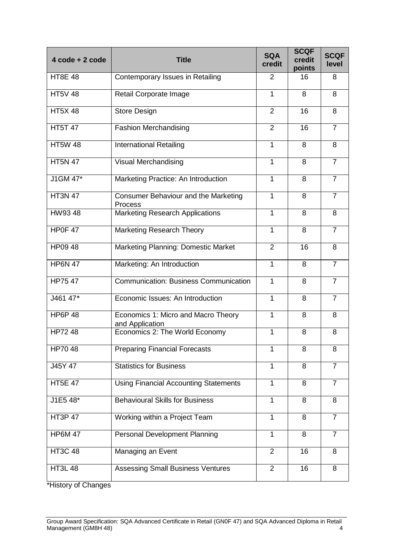| 4 code + 2 code | <b>Title</b>                                           | <b>SQA</b><br>credit | <b>SCQF</b><br>credit<br>points | <b>SCQF</b><br>level |
|-----------------|--------------------------------------------------------|----------------------|---------------------------------|----------------------|
| <b>HT8E 48</b>  | Contemporary Issues in Retailing                       | $\overline{2}$       | 16                              | 8                    |
| <b>HT5V 48</b>  | Retail Corporate Image                                 | 1                    | 8                               | 8                    |
| <b>HT5X48</b>   | <b>Store Design</b>                                    | $\overline{2}$       | 16                              | 8                    |
| <b>HT5T 47</b>  | <b>Fashion Merchandising</b>                           | $\overline{2}$       | 16                              | $\overline{7}$       |
| <b>HT5W 48</b>  | <b>International Retailing</b>                         | 1                    | 8                               | 8                    |
| <b>HT5N 47</b>  | Visual Merchandising                                   | 1                    | 8                               | $\overline{7}$       |
| $J1GM$ $47*$    | Marketing Practice: An Introduction                    | 1                    | 8                               | $\overline{7}$       |
| <b>HT3N 47</b>  | Consumer Behaviour and the Marketing<br><b>Process</b> | 1                    | 8                               | $\overline{7}$       |
| HW9348          | <b>Marketing Research Applications</b>                 | 1                    | 8                               | 8                    |
| HP0F 47         | <b>Marketing Research Theory</b>                       | $\mathbf{1}$         | 8                               | $\overline{7}$       |
| HP09 48         | Marketing Planning: Domestic Market                    | $\overline{2}$       | 16                              | 8                    |
| <b>HP6N 47</b>  | Marketing: An Introduction                             | 1                    | 8                               | $\overline{7}$       |
| HP75 47         | <b>Communication: Business Communication</b>           | 1                    | 8                               | $\overline{7}$       |
| J461 47*        | Economic Issues: An Introduction                       | $\mathbf{1}$         | 8                               | $\overline{7}$       |
| <b>HP6P 48</b>  | Economics 1: Micro and Macro Theory<br>and Application | 1                    | 8                               | 8                    |
| HP72 48         | Economics 2: The World Economy                         | $\mathbf{1}$         | 8                               | 8                    |
| HP7048          | <b>Preparing Financial Forecasts</b>                   | 1                    | 8                               | 8                    |
| J45Y 47         | <b>Statistics for Business</b>                         | 1                    | 8                               | $\overline{7}$       |
| <b>HT5E 47</b>  | <b>Using Financial Accounting Statements</b>           | 1                    | 8                               | $\overline{7}$       |
| J1E5 48*        | <b>Behavioural Skills for Business</b>                 | $\mathbf{1}$         | 8                               | 8                    |
| <b>HT3P 47</b>  | Working within a Project Team                          | $\mathbf{1}$         | 8                               | $\overline{7}$       |
| <b>HP6M 47</b>  | <b>Personal Development Planning</b>                   | 1                    | 8                               | $\overline{7}$       |
| <b>HT3C 48</b>  | Managing an Event                                      | $\overline{2}$       | 16                              | 8                    |
| <b>HT3L 48</b>  | <b>Assessing Small Business Ventures</b>               | $\overline{2}$       | 16                              | 8                    |

\*History of Changes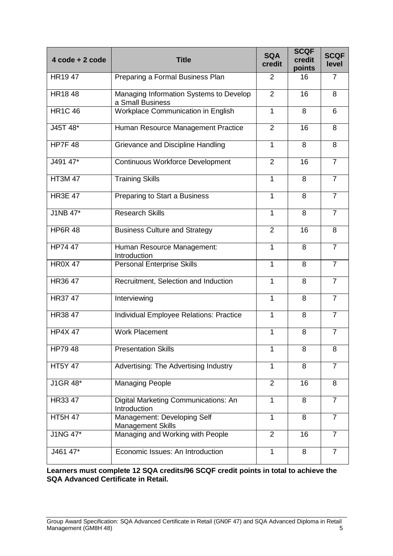| 4 code + 2 code | <b>Title</b>                                                | <b>SQA</b><br>credit | <b>SCQF</b><br>credit<br>points | <b>SCQF</b><br>level |
|-----------------|-------------------------------------------------------------|----------------------|---------------------------------|----------------------|
| HR1947          | Preparing a Formal Business Plan                            | 2                    | 16                              | 7                    |
| <b>HR1848</b>   | Managing Information Systems to Develop<br>a Small Business | $\overline{2}$       | 16                              | 8                    |
| <b>HR1C 46</b>  | Workplace Communication in English                          | $\mathbf{1}$         | 8                               | 6                    |
| J45T 48*        | Human Resource Management Practice                          | 2                    | 16                              | 8                    |
| HP7F48          | Grievance and Discipline Handling                           | 1                    | 8                               | 8                    |
| J491 47*        | <b>Continuous Workforce Development</b>                     | $\overline{2}$       | 16                              | $\overline{7}$       |
| <b>HT3M47</b>   | <b>Training Skills</b>                                      | 1                    | 8                               | $\overline{7}$       |
| <b>HR3E 47</b>  | Preparing to Start a Business                               | 1                    | 8                               | $\overline{7}$       |
| <b>J1NB 47*</b> | <b>Research Skills</b>                                      | $\mathbf{1}$         | 8                               | $\overline{7}$       |
| <b>HP6R 48</b>  | <b>Business Culture and Strategy</b>                        | 2                    | 16                              | 8                    |
| HP74 $47$       | Human Resource Management:<br>Introduction                  | 1                    | 8                               | $\overline{7}$       |
| <b>HR0X 47</b>  | <b>Personal Enterprise Skills</b>                           | 1                    | 8                               | $\overline{7}$       |
| HR36 47         | Recruitment, Selection and Induction                        | 1                    | 8                               | $\overline{7}$       |
| HR37 47         | Interviewing                                                | 1                    | 8                               | $\overline{7}$       |
| <b>HR3847</b>   | Individual Employee Relations: Practice                     | $\mathbf{1}$         | 8                               | $\overline{7}$       |
| <b>HP4X 47</b>  | <b>Work Placement</b>                                       | 1                    | 8                               | $\overline{7}$       |
| HP79 48         | <b>Presentation Skills</b>                                  | 1                    | 8                               | 8                    |
| <b>HT5Y 47</b>  | Advertising: The Advertising Industry                       | 1                    | 8                               | $\overline{7}$       |
| J1GR 48*        | <b>Managing People</b>                                      | $\overline{2}$       | 16                              | 8                    |
| HR33 47         | Digital Marketing Communications: An<br>Introduction        | $\mathbf{1}$         | 8                               | $\overline{7}$       |
| <b>HT5H 47</b>  | Management: Developing Self<br><b>Management Skills</b>     | $\mathbf{1}$         | 8                               | $\overline{7}$       |
| J1NG 47*        | Managing and Working with People                            | $\overline{2}$       | 16                              | $\overline{7}$       |
| J461 47*        | Economic Issues: An Introduction                            | 1                    | 8                               | $\overline{7}$       |

**Learners must complete 12 SQA credits/96 SCQF credit points in total to achieve the SQA Advanced Certificate in Retail.**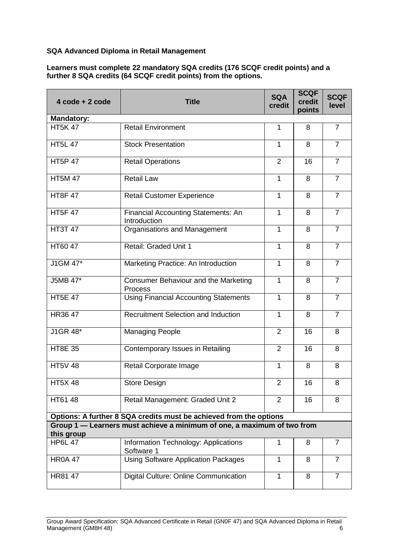#### **SQA Advanced Diploma in Retail Management**

#### **Learners must complete 22 mandatory SQA credits (176 SCQF credit points) and a further 8 SQA credits (64 SCQF credit points) from the options.**

| $4 \text{ code} + 2 \text{ code}$ | <b>Title</b>                                                            | <b>SQA</b><br>credit | <b>SCQF</b><br>credit<br>points | <b>SCQF</b><br>level |
|-----------------------------------|-------------------------------------------------------------------------|----------------------|---------------------------------|----------------------|
| <b>Mandatory:</b>                 |                                                                         |                      |                                 |                      |
| <b>HT5K47</b>                     | <b>Retail Environment</b>                                               | $\mathbf{1}$         | 8                               | $\overline{7}$       |
| <b>HT5L 47</b>                    | <b>Stock Presentation</b>                                               | $\mathbf{1}$         | 8                               | $\overline{7}$       |
| <b>HT5P 47</b>                    | <b>Retail Operations</b>                                                | $\overline{2}$       | 16                              | $\overline{7}$       |
| <b>HT5M 47</b>                    | <b>Retail Law</b>                                                       | 1                    | 8                               | $\overline{7}$       |
| <b>HT8F47</b>                     | <b>Retail Customer Experience</b>                                       | $\mathbf{1}$         | 8                               | $\overline{7}$       |
| <b>HT5F47</b>                     | <b>Financial Accounting Statements: An</b><br>Introduction              | $\mathbf 1$          | 8                               | $\overline{7}$       |
| <b>HT3T 47</b>                    | Organisations and Management                                            | $\mathbf{1}$         | 8                               | $\overline{7}$       |
| HT60 47                           | Retail: Graded Unit 1                                                   | $\mathbf{1}$         | 8                               | $\overline{7}$       |
| J1GM 47*                          | Marketing Practice: An Introduction                                     | $\mathbf{1}$         | 8                               | $\overline{7}$       |
| <b>J5MB 47*</b>                   | <b>Consumer Behaviour and the Marketing</b><br>Process                  | $\mathbf{1}$         | 8                               | $\overline{7}$       |
| <b>HT5E 47</b>                    | <b>Using Financial Accounting Statements</b>                            | 1                    | 8                               | $\overline{7}$       |
| HR36 47                           | <b>Recruitment Selection and Induction</b>                              | $\mathbf{1}$         | 8                               | $\overline{7}$       |
| J1GR 48*                          | <b>Managing People</b>                                                  | 2                    | 16                              | 8                    |
| <b>HT8E 35</b>                    | Contemporary Issues in Retailing                                        | $\overline{2}$       | 16                              | 8                    |
| <b>HT5V 48</b>                    | Retail Corporate Image                                                  | $\mathbf{1}$         | 8                               | 8                    |
| <b>HT5X48</b>                     | Store Design                                                            | $\overline{2}$       | 16                              | 8                    |
| HT61 48                           | Retail Management: Graded Unit 2                                        | $\overline{2}$       | 16                              | 8                    |
|                                   | Options: A further 8 SQA credits must be achieved from the options      |                      |                                 |                      |
|                                   | Group 1 - Learners must achieve a minimum of one, a maximum of two from |                      |                                 |                      |
| this group                        |                                                                         |                      |                                 |                      |
| <b>HP6L 47</b>                    | Information Technology: Applications<br>Software 1                      | 1                    | 8                               | $\overline{7}$       |
| <b>HR0A 47</b>                    | <b>Using Software Application Packages</b>                              | 1                    | 8                               | $\overline{7}$       |
| HR81 47                           | Digital Culture: Online Communication                                   | 1                    | 8                               | $\overline{7}$       |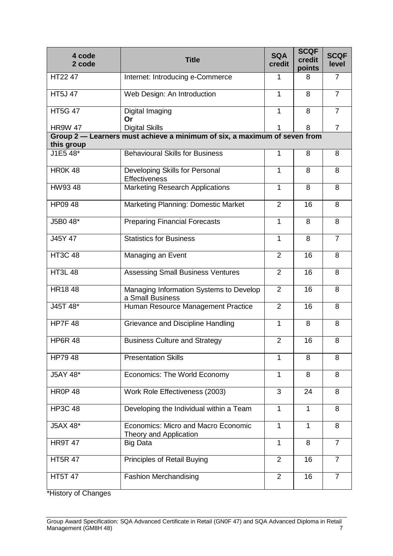| 4 code<br>2 code       | <b>Title</b>                                                              | <b>SQA</b><br>credit | <b>SCQF</b><br>credit<br>points | <b>SCQF</b><br>level |
|------------------------|---------------------------------------------------------------------------|----------------------|---------------------------------|----------------------|
| HT22 47                | Internet: Introducing e-Commerce                                          | 1                    | 8                               | $\overline{7}$       |
| <b>HT5J47</b>          | Web Design: An Introduction                                               | $\mathbf{1}$         | 8                               | $\overline{7}$       |
| <b>HT5G 47</b>         | Digital Imaging<br>Or                                                     | $\mathbf{1}$         | 8                               | $\overline{7}$       |
| <b>HR9W 47</b>         | <b>Digital Skills</b>                                                     |                      | 8                               | $\overline{7}$       |
|                        | Group 2 - Learners must achieve a minimum of six, a maximum of seven from |                      |                                 |                      |
| this group<br>J1E5 48* | <b>Behavioural Skills for Business</b>                                    | 1                    | 8                               | 8                    |
|                        |                                                                           |                      |                                 |                      |
| <b>HR0K48</b>          | Developing Skills for Personal<br><b>Effectiveness</b>                    | 1                    | 8                               | 8                    |
| HW9348                 | <b>Marketing Research Applications</b>                                    | $\mathbf{1}$         | 8                               | 8                    |
| HP09 48                | Marketing Planning: Domestic Market                                       | $\overline{2}$       | 16                              | 8                    |
| J5B0 48*               | <b>Preparing Financial Forecasts</b>                                      | $\mathbf{1}$         | 8                               | 8                    |
| J45Y 47                | <b>Statistics for Business</b>                                            | $\mathbf{1}$         | 8                               | $\overline{7}$       |
| <b>HT3C 48</b>         | Managing an Event                                                         | $\overline{2}$       | 16                              | 8                    |
| <b>HT3L 48</b>         | <b>Assessing Small Business Ventures</b>                                  | $\overline{2}$       | 16                              | 8                    |
| HR1848                 | Managing Information Systems to Develop<br>a Small Business               | $\overline{2}$       | 16                              | 8                    |
| J45T 48*               | Human Resource Management Practice                                        | $\overline{2}$       | 16                              | 8                    |
| <b>HP7F 48</b>         | Grievance and Discipline Handling                                         | $\mathbf{1}$         | 8                               | 8                    |
| <b>HP6R 48</b>         | <b>Business Culture and Strategy</b>                                      | $\overline{2}$       | 16                              | 8                    |
| HP79 48                | <b>Presentation Skills</b>                                                | $\mathbf{1}$         | 8                               | 8                    |
| J5AY 48*               | Economics: The World Economy                                              | $\mathbf{1}$         | 8                               | 8                    |
| <b>HR0P 48</b>         | Work Role Effectiveness (2003)                                            | 3                    | 24                              | 8                    |
| <b>HP3C 48</b>         | Developing the Individual within a Team                                   | $\mathbf{1}$         | $\mathbf{1}$                    | 8                    |
| J5AX 48*               | Economics: Micro and Macro Economic<br>Theory and Application             | $\mathbf{1}$         | 1                               | 8                    |
| <b>HR9T 47</b>         | <b>Big Data</b>                                                           | $\mathbf{1}$         | 8                               | $\overline{7}$       |
| <b>HT5R 47</b>         | Principles of Retail Buying                                               | $\overline{2}$       | 16                              | $\overline{7}$       |
| <b>HT5T 47</b>         | <b>Fashion Merchandising</b>                                              | $\overline{2}$       | 16                              | $\overline{7}$       |

\*History of Changes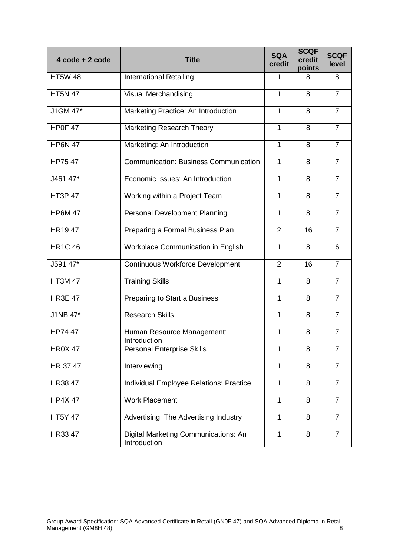| $4 \text{ code} + 2 \text{ code}$ | <b>Title</b>                                         | <b>SQA</b><br>credit | <b>SCQF</b><br>credit<br>points | <b>SCQF</b><br>level |
|-----------------------------------|------------------------------------------------------|----------------------|---------------------------------|----------------------|
| <b>HT5W 48</b>                    | <b>International Retailing</b>                       | 1                    | 8                               | 8                    |
| <b>HT5N 47</b>                    | Visual Merchandising                                 | $\mathbf{1}$         | 8                               | $\overline{7}$       |
| J1GM 47*                          | Marketing Practice: An Introduction                  | $\mathbf{1}$         | 8                               | $\overline{7}$       |
| HP0F47                            | <b>Marketing Research Theory</b>                     | $\mathbf{1}$         | 8                               | $\overline{7}$       |
| <b>HP6N 47</b>                    | Marketing: An Introduction                           | $\mathbf{1}$         | 8                               | $\overline{7}$       |
| <b>HP7547</b>                     | <b>Communication: Business Communication</b>         | $\mathbf{1}$         | 8                               | $\overline{7}$       |
| J461 47*                          | Economic Issues: An Introduction                     | $\mathbf{1}$         | 8                               | $\overline{7}$       |
| <b>HT3P47</b>                     | Working within a Project Team                        | $\mathbf{1}$         | 8                               | $\overline{7}$       |
| <b>HP6M 47</b>                    | <b>Personal Development Planning</b>                 | $\mathbf{1}$         | 8                               | $\overline{7}$       |
| HR1947                            | Preparing a Formal Business Plan                     | 2                    | 16                              | $\overline{7}$       |
| <b>HR1C 46</b>                    | <b>Workplace Communication in English</b>            | $\mathbf{1}$         | 8                               | 6                    |
| J591 47*                          | <b>Continuous Workforce Development</b>              | $\overline{2}$       | 16                              | $\overline{7}$       |
| <b>HT3M 47</b>                    | <b>Training Skills</b>                               | 1                    | 8                               | $\overline{7}$       |
| <b>HR3E 47</b>                    | Preparing to Start a Business                        | $\mathbf{1}$         | 8                               | $\overline{7}$       |
| J1NB 47*                          | <b>Research Skills</b>                               | $\mathbf{1}$         | 8                               | $\overline{7}$       |
| HP74 47                           | Human Resource Management:<br>Introduction           | 1                    | 8                               | $\overline{7}$       |
| <b>HR0X 47</b>                    | <b>Personal Enterprise Skills</b>                    | 1                    | 8                               | $\overline{7}$       |
| HR 37 47                          | Interviewing                                         | $\mathbf{1}$         | 8                               | $\overline{7}$       |
| HR38 47                           | Individual Employee Relations: Practice              | $\mathbf{1}$         | 8                               | $\overline{7}$       |
| <b>HP4X 47</b>                    | <b>Work Placement</b>                                | $\mathbf{1}$         | 8                               | 7                    |
| <b>HT5Y 47</b>                    | Advertising: The Advertising Industry                | $\mathbf{1}$         | 8                               | $\overline{7}$       |
| HR33 47                           | Digital Marketing Communications: An<br>Introduction | $\mathbf{1}$         | 8                               | $\overline{7}$       |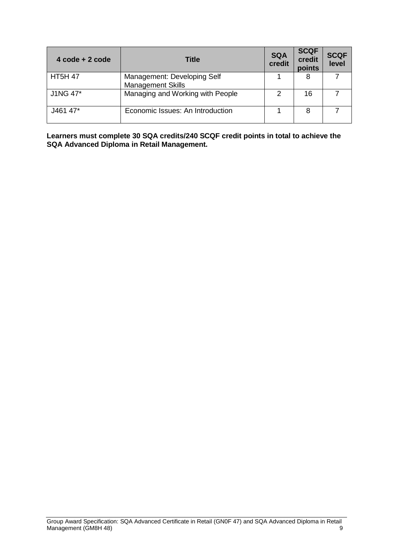| $4 \text{ code} + 2 \text{ code}$ | Title                                                   | <b>SQA</b><br>credit | <b>SCQF</b><br>credit<br>points | <b>SCQF</b><br>level |
|-----------------------------------|---------------------------------------------------------|----------------------|---------------------------------|----------------------|
| <b>HT5H 47</b>                    | Management: Developing Self<br><b>Management Skills</b> |                      | 8                               |                      |
| J1NG 47*                          | Managing and Working with People                        |                      | 16                              |                      |
| J461 47*                          | Economic Issues: An Introduction                        |                      | 8                               |                      |

**Learners must complete 30 SQA credits/240 SCQF credit points in total to achieve the SQA Advanced Diploma in Retail Management.**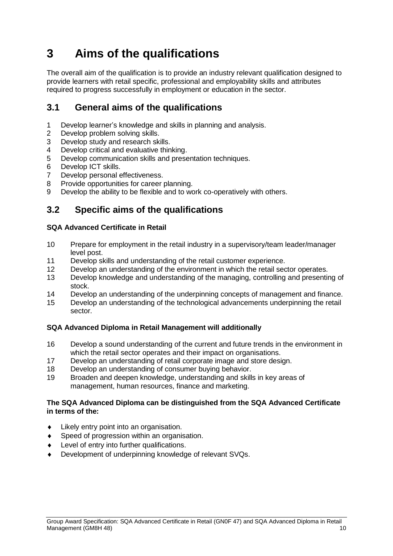# <span id="page-13-0"></span>**3 Aims of the qualifications**

The overall aim of the qualification is to provide an industry relevant qualification designed to provide learners with retail specific, professional and employability skills and attributes required to progress successfully in employment or education in the sector.

### <span id="page-13-1"></span>**3.1 General aims of the qualifications**

- 1 Develop learner's knowledge and skills in planning and analysis.
- 2 Develop problem solving skills.
- 3 Develop study and research skills.
- 4 Develop critical and evaluative thinking.
- 5 Develop communication skills and presentation techniques.
- 6 Develop ICT skills.
- 7 Develop personal effectiveness.
- 8 Provide opportunities for career planning.
- 9 Develop the ability to be flexible and to work co-operatively with others.

### <span id="page-13-2"></span>**3.2 Specific aims of the qualifications**

#### **SQA Advanced Certificate in Retail**

- 10 Prepare for employment in the retail industry in a supervisory/team leader/manager level post.
- 11 Develop skills and understanding of the retail customer experience.
- 12 Develop an understanding of the environment in which the retail sector operates.
- 13 Develop knowledge and understanding of the managing, controlling and presenting of stock.
- 14 Develop an understanding of the underpinning concepts of management and finance.
- 15 Develop an understanding of the technological advancements underpinning the retail sector.

#### **SQA Advanced Diploma in Retail Management will additionally**

- 16 Develop a sound understanding of the current and future trends in the environment in which the retail sector operates and their impact on organisations.
- 17 Develop an understanding of retail corporate image and store design.
- 18 Develop an understanding of consumer buying behavior.
- 19 Broaden and deepen knowledge, understanding and skills in key areas of management, human resources, finance and marketing.

#### **The SQA Advanced Diploma can be distinguished from the SQA Advanced Certificate in terms of the:**

- Likely entry point into an organisation.
- ◆ Speed of progression within an organisation.
- Level of entry into further qualifications.
- Development of underpinning knowledge of relevant SVQs.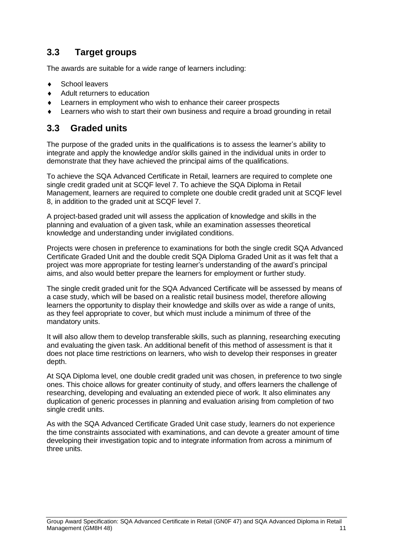### <span id="page-14-0"></span>**3.3 Target groups**

The awards are suitable for a wide range of learners including:

- School leavers
- ◆ Adult returners to education
- Learners in employment who wish to enhance their career prospects
- Learners who wish to start their own business and require a broad grounding in retail

### <span id="page-14-1"></span>**3.3 Graded units**

The purpose of the graded units in the qualifications is to assess the learner's ability to integrate and apply the knowledge and/or skills gained in the individual units in order to demonstrate that they have achieved the principal aims of the qualifications.

To achieve the SQA Advanced Certificate in Retail, learners are required to complete one single credit graded unit at SCQF level 7. To achieve the SQA Diploma in Retail Management, learners are required to complete one double credit graded unit at SCQF level 8, in addition to the graded unit at SCQF level 7.

A project-based graded unit will assess the application of knowledge and skills in the planning and evaluation of a given task, while an examination assesses theoretical knowledge and understanding under invigilated conditions.

Projects were chosen in preference to examinations for both the single credit SQA Advanced Certificate Graded Unit and the double credit SQA Diploma Graded Unit as it was felt that a project was more appropriate for testing learner's understanding of the award's principal aims, and also would better prepare the learners for employment or further study.

The single credit graded unit for the SQA Advanced Certificate will be assessed by means of a case study, which will be based on a realistic retail business model, therefore allowing learners the opportunity to display their knowledge and skills over as wide a range of units, as they feel appropriate to cover, but which must include a minimum of three of the mandatory units.

It will also allow them to develop transferable skills, such as planning, researching executing and evaluating the given task. An additional benefit of this method of assessment is that it does not place time restrictions on learners, who wish to develop their responses in greater depth.

At SQA Diploma level, one double credit graded unit was chosen, in preference to two single ones. This choice allows for greater continuity of study, and offers learners the challenge of researching, developing and evaluating an extended piece of work. It also eliminates any duplication of generic processes in planning and evaluation arising from completion of two single credit units.

As with the SQA Advanced Certificate Graded Unit case study, learners do not experience the time constraints associated with examinations, and can devote a greater amount of time developing their investigation topic and to integrate information from across a minimum of three units.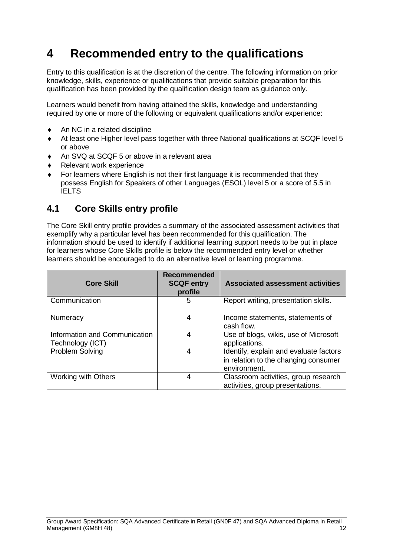# <span id="page-15-0"></span>**4 Recommended entry to the qualifications**

Entry to this qualification is at the discretion of the centre. The following information on prior knowledge, skills, experience or qualifications that provide suitable preparation for this qualification has been provided by the qualification design team as guidance only.

Learners would benefit from having attained the skills, knowledge and understanding required by one or more of the following or equivalent qualifications and/or experience:

- An NC in a related discipline
- At least one Higher level pass together with three National qualifications at SCQF level 5 or above
- An SVQ at SCQF 5 or above in a relevant area
- ◆ Relevant work experience
- For learners where English is not their first language it is recommended that they possess English for Speakers of other Languages (ESOL) level 5 or a score of 5.5 in IELTS

### <span id="page-15-1"></span>**4.1 Core Skills entry profile**

The Core Skill entry profile provides a summary of the associated assessment activities that exemplify why a particular level has been recommended for this qualification. The information should be used to identify if additional learning support needs to be put in place for learners whose Core Skills profile is below the recommended entry level or whether learners should be encouraged to do an alternative level or learning programme.

| <b>Core Skill</b>                                 | <b>Recommended</b><br><b>SCQF entry</b><br>profile | <b>Associated assessment activities</b>                                                        |
|---------------------------------------------------|----------------------------------------------------|------------------------------------------------------------------------------------------------|
| Communication                                     | 5                                                  | Report writing, presentation skills.                                                           |
| Numeracy                                          | 4                                                  | Income statements, statements of<br>cash flow.                                                 |
| Information and Communication<br>Technology (ICT) | 4                                                  | Use of blogs, wikis, use of Microsoft<br>applications.                                         |
| Problem Solving                                   | 4                                                  | Identify, explain and evaluate factors<br>in relation to the changing consumer<br>environment. |
| <b>Working with Others</b>                        | 4                                                  | Classroom activities, group research<br>activities, group presentations.                       |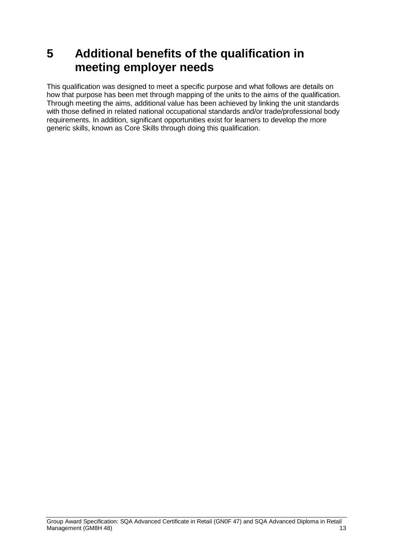# <span id="page-16-0"></span>**5 Additional benefits of the qualification in meeting employer needs**

This qualification was designed to meet a specific purpose and what follows are details on how that purpose has been met through mapping of the units to the aims of the qualification. Through meeting the aims, additional value has been achieved by linking the unit standards with those defined in related national occupational standards and/or trade/professional body requirements. In addition, significant opportunities exist for learners to develop the more generic skills, known as Core Skills through doing this qualification.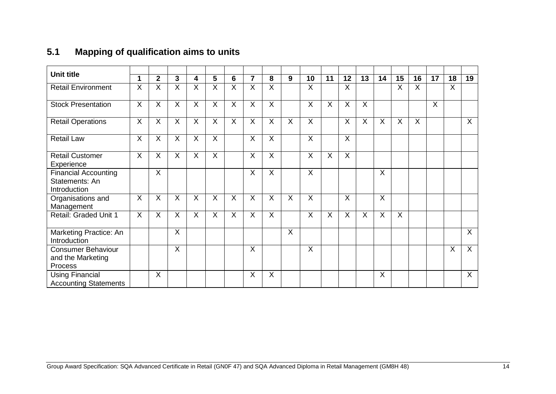## **5.1 Mapping of qualification aims to units**

<span id="page-17-0"></span>

| <b>Unit title</b>                                             | 1                       | $\mathbf 2$    | $\mathbf{3}$            | 4                       | 5                       | 6                       | $\overline{7}$          | 8              | 9              | 10             | 11             | 12                      | 13             | 14                      | 15             | 16                      | 17      | 18      | 19             |
|---------------------------------------------------------------|-------------------------|----------------|-------------------------|-------------------------|-------------------------|-------------------------|-------------------------|----------------|----------------|----------------|----------------|-------------------------|----------------|-------------------------|----------------|-------------------------|---------|---------|----------------|
| <b>Retail Environment</b>                                     | $\overline{\mathsf{x}}$ | X              | $\overline{\mathsf{x}}$ | $\overline{\mathsf{X}}$ | $\overline{\mathsf{x}}$ | $\overline{\mathsf{X}}$ | $\overline{\mathsf{x}}$ | $\overline{X}$ |                | X              |                | $\overline{\mathsf{X}}$ |                |                         | X              | X                       |         | $\sf X$ |                |
| <b>Stock Presentation</b>                                     | X                       | X              | $\sf X$                 | X                       | X                       | X                       | X                       | X              |                | X              | X              | X                       | X              |                         |                |                         | $\sf X$ |         |                |
| <b>Retail Operations</b>                                      | $\overline{\mathsf{X}}$ | $\overline{X}$ | $\overline{X}$          | $\overline{X}$          | $\overline{\mathsf{X}}$ | $\overline{X}$          | $\overline{X}$          | $\overline{X}$ | $\overline{X}$ | $\overline{X}$ |                | $\overline{X}$          | $\overline{X}$ | $\overline{\mathsf{X}}$ | $\overline{X}$ | $\overline{\mathsf{X}}$ |         |         | $\overline{X}$ |
| <b>Retail Law</b>                                             | X                       | X              | X                       | X                       | X                       |                         | X                       | X              |                | $\times$       |                | X                       |                |                         |                |                         |         |         |                |
| <b>Retail Customer</b><br>Experience                          | X                       | $\times$       | X                       | X                       | X                       |                         | $\times$                | X              |                | $\times$       | X              | X                       |                |                         |                |                         |         |         |                |
| <b>Financial Accounting</b><br>Statements: An<br>Introduction |                         | $\mathsf{X}$   |                         |                         |                         |                         | $\sf X$                 | $\sf X$        |                | $\sf X$        |                |                         |                | $\sf X$                 |                |                         |         |         |                |
| Organisations and<br>Management                               | $\overline{\mathsf{X}}$ | $\times$       | $\overline{X}$          | $\overline{\mathsf{X}}$ | $\overline{X}$          | $\overline{X}$          | $\overline{X}$          | $\overline{X}$ | $\overline{X}$ | $\times$       |                | $\overline{\mathsf{X}}$ |                | $\overline{\mathsf{x}}$ |                |                         |         |         |                |
| Retail: Graded Unit 1                                         | $\overline{\mathsf{x}}$ | $\overline{X}$ | $\overline{\mathsf{x}}$ | $\overline{X}$          | $\overline{X}$          | $\overline{X}$          | $\overline{\mathsf{x}}$ | $\overline{X}$ |                | $\overline{X}$ | $\overline{X}$ | $\overline{\mathsf{X}}$ | $\overline{X}$ | $\overline{X}$          | $\overline{X}$ |                         |         |         |                |
| Marketing Practice: An<br>Introduction                        |                         |                | X                       |                         |                         |                         |                         |                | X              |                |                |                         |                |                         |                |                         |         |         | X              |
| <b>Consumer Behaviour</b><br>and the Marketing<br>Process     |                         |                | X                       |                         |                         |                         | X                       |                |                | X              |                |                         |                |                         |                |                         |         | $\sf X$ | X              |
| <b>Using Financial</b><br><b>Accounting Statements</b>        |                         | $\overline{X}$ |                         |                         |                         |                         | X                       | X              |                |                |                |                         |                | $\overline{X}$          |                |                         |         |         | $\overline{X}$ |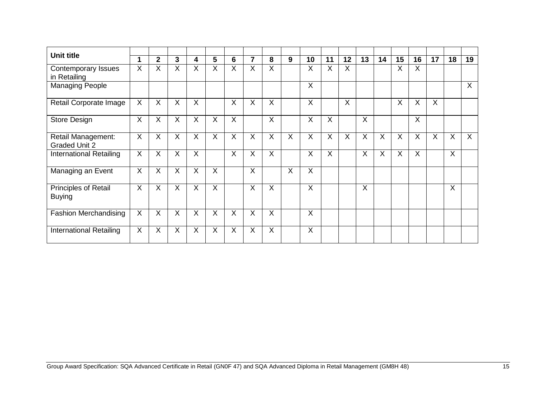| <b>Unit title</b>                          |                         |                |                         |                         |                         |                         |                         |          |          |                |                         |                |                         |                         |                         |                         |         |         |         |
|--------------------------------------------|-------------------------|----------------|-------------------------|-------------------------|-------------------------|-------------------------|-------------------------|----------|----------|----------------|-------------------------|----------------|-------------------------|-------------------------|-------------------------|-------------------------|---------|---------|---------|
|                                            |                         | $\overline{2}$ | $\mathbf{3}$            | 4                       | 5                       | 6                       | 7                       | 8        | 9        | 10             | 11                      | 12             | 13                      | 14                      | 15                      | 16                      | 17      | 18      | 19      |
| <b>Contemporary Issues</b><br>in Retailing | X                       | X              | X                       | X                       | X                       | X                       | X                       | X        |          | X              | X                       | X              |                         |                         | X                       | X                       |         |         |         |
| <b>Managing People</b>                     |                         |                |                         |                         |                         |                         |                         |          |          | X              |                         |                |                         |                         |                         |                         |         |         | $\sf X$ |
| Retail Corporate Image                     | $\mathsf{X}$            | X              | $\overline{\mathsf{X}}$ | X                       |                         | $\times$                | $\sf X$                 | X        |          | $\sf X$        |                         | $\overline{X}$ |                         |                         | X                       | $\overline{\mathsf{x}}$ | $\sf X$ |         |         |
| Store Design                               | X                       | X              | X                       | X                       | X                       | $\times$                |                         | $\times$ |          | X              | X                       |                | X                       |                         |                         | X                       |         |         |         |
| Retail Management:<br><b>Graded Unit 2</b> | $\mathsf{X}$            | X              | X                       | $\times$                | X                       | $\times$                | X                       | X        | X        | X              | X                       | $\overline{X}$ | X                       | X                       | X                       | X                       | X       | X       | $\sf X$ |
| <b>International Retailing</b>             | $\mathsf{X}$            | $\sf X$        | $\overline{X}$          | $\overline{\mathsf{x}}$ |                         | $\times$                | $\times$                | X        |          | $\sf X$        | $\overline{\mathsf{x}}$ |                | $\overline{\mathsf{x}}$ | $\overline{\mathsf{x}}$ | $\overline{\mathsf{x}}$ | X                       |         | $\sf X$ |         |
| Managing an Event                          | X                       | X              | X                       | $\times$                | X                       |                         | $\sf X$                 |          | $\times$ | X              |                         |                |                         |                         |                         |                         |         |         |         |
| Principles of Retail<br><b>Buying</b>      | $\mathsf{X}$            | X              | $\sf X$                 | X                       | X                       |                         | $\sf X$                 | X        |          | $\sf X$        |                         |                | X                       |                         |                         |                         |         | X       |         |
| <b>Fashion Merchandising</b>               | X                       | X              | X                       | X                       | X                       | X                       | X                       | X        |          | $\sf X$        |                         |                |                         |                         |                         |                         |         |         |         |
| <b>International Retailing</b>             | $\overline{\mathsf{x}}$ | $\overline{X}$ | $\overline{\mathsf{X}}$ | $\overline{\mathsf{x}}$ | $\overline{\mathsf{x}}$ | $\overline{\mathsf{x}}$ | $\overline{\mathsf{x}}$ | X        |          | $\overline{X}$ |                         |                |                         |                         |                         |                         |         |         |         |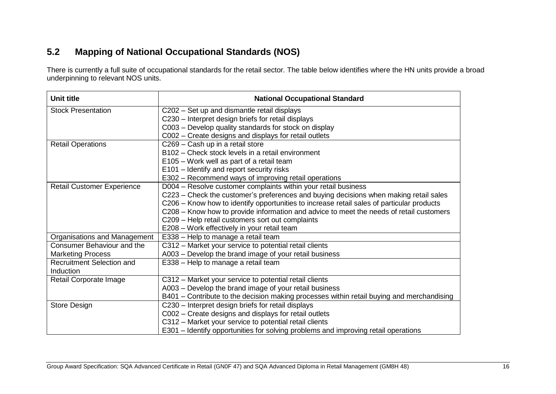### **5.2 Mapping of National Occupational Standards (NOS)**

There is currently a full suite of occupational standards for the retail sector. The table below identifies where the HN units provide a broad underpinning to relevant NOS units.

<span id="page-19-0"></span>

| Unit title                        | <b>National Occupational Standard</b>                                                     |
|-----------------------------------|-------------------------------------------------------------------------------------------|
| <b>Stock Presentation</b>         | C202 - Set up and dismantle retail displays                                               |
|                                   | C230 - Interpret design briefs for retail displays                                        |
|                                   | C003 – Develop quality standards for stock on display                                     |
|                                   | C002 - Create designs and displays for retail outlets                                     |
| <b>Retail Operations</b>          | C269 - Cash up in a retail store                                                          |
|                                   | B102 - Check stock levels in a retail environment                                         |
|                                   | E105 – Work well as part of a retail team                                                 |
|                                   | E101 – Identify and report security risks                                                 |
|                                   | E302 - Recommend ways of improving retail operations                                      |
| <b>Retail Customer Experience</b> | D004 - Resolve customer complaints within your retail business                            |
|                                   | C223 – Check the customer's preferences and buying decisions when making retail sales     |
|                                   | C206 - Know how to identify opportunities to increase retail sales of particular products |
|                                   | C208 - Know how to provide information and advice to meet the needs of retail customers   |
|                                   | C209 - Help retail customers sort out complaints                                          |
|                                   | E208 - Work effectively in your retail team                                               |
| Organisations and Management      | E338 - Help to manage a retail team                                                       |
| <b>Consumer Behaviour and the</b> | C312 - Market your service to potential retail clients                                    |
| <b>Marketing Process</b>          | A003 - Develop the brand image of your retail business                                    |
| <b>Recruitment Selection and</b>  | E338 - Help to manage a retail team                                                       |
| Induction                         |                                                                                           |
| Retail Corporate Image            | C312 - Market your service to potential retail clients                                    |
|                                   | A003 - Develop the brand image of your retail business                                    |
|                                   | B401 – Contribute to the decision making processes within retail buying and merchandising |
| <b>Store Design</b>               | C230 - Interpret design briefs for retail displays                                        |
|                                   | C002 – Create designs and displays for retail outlets                                     |
|                                   | C312 - Market your service to potential retail clients                                    |
|                                   | E301 – Identify opportunities for solving problems and improving retail operations        |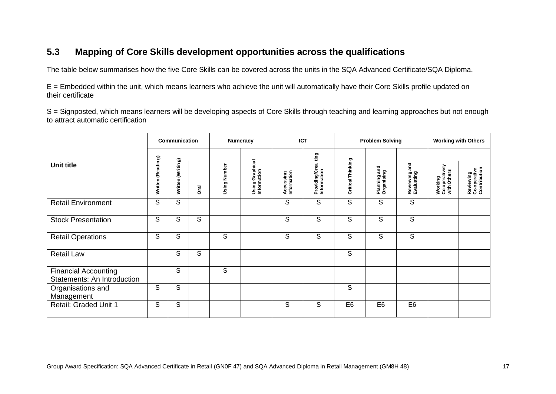### **5.3 Mapping of Core Skills development opportunities across the qualifications**

The table below summarises how the five Core Skills can be covered across the units in the SQA Advanced Certificate/SQA Diploma.

E = Embedded within the unit, which means learners who achieve the unit will automatically have their Core Skills profile updated on their certificate

S = Signposted, which means learners will be developing aspects of Core Skills through teaching and learning approaches but not enough to attract automatic certification

<span id="page-20-0"></span>

|                                                            |                   | Communication     |             | Numeracy     |                                 | <b>ICT</b>               |                                       |                   | <b>Problem Solving</b>           |                             | <b>Working with Others</b>               |                                           |
|------------------------------------------------------------|-------------------|-------------------|-------------|--------------|---------------------------------|--------------------------|---------------------------------------|-------------------|----------------------------------|-----------------------------|------------------------------------------|-------------------------------------------|
| <b>Unit title</b>                                          | Written (Reading) | Written (Writing) | <b>Oral</b> | Using Number | Using Graphica I<br>Information | Accessing<br>Information | ting<br>Providing/Crea<br>Information | Critical Thinking | and<br>Planning an<br>Organising | Reviewing and<br>Evaluating | Working<br>Co-operatively<br>with Others | Reviewing<br>Co-operative<br>Contribution |
| <b>Retail Environment</b>                                  | S                 | S                 |             |              |                                 | S                        | S                                     | S                 | S                                | S                           |                                          |                                           |
| <b>Stock Presentation</b>                                  | S                 | S                 | S           |              |                                 | S                        | S                                     | S                 | S                                | S                           |                                          |                                           |
| <b>Retail Operations</b>                                   | S                 | S                 |             | S            |                                 | S                        | S                                     | S                 | S                                | S                           |                                          |                                           |
| <b>Retail Law</b>                                          |                   | S                 | S           |              |                                 |                          |                                       | S                 |                                  |                             |                                          |                                           |
| <b>Financial Accounting</b><br>Statements: An Introduction |                   | S                 |             | S            |                                 |                          |                                       |                   |                                  |                             |                                          |                                           |
| Organisations and<br>Management                            | S                 | S                 |             |              |                                 |                          |                                       | S                 |                                  |                             |                                          |                                           |
| Retail: Graded Unit 1                                      | S                 | S                 |             |              |                                 | S                        | S                                     | E <sub>6</sub>    | E <sub>6</sub>                   | E <sub>6</sub>              |                                          |                                           |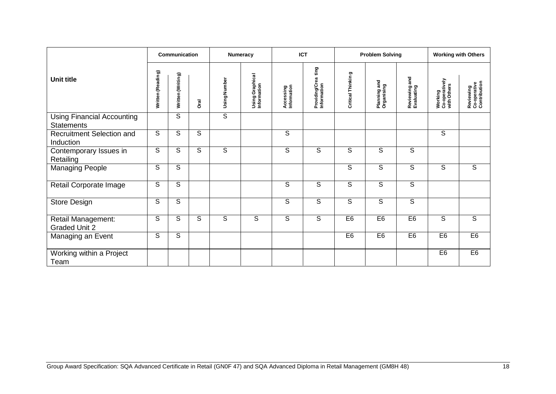|                                                        |                   | Communication     |      |                | <b>Numeracy</b>                | <b>ICT</b>               |                                       |                         | <b>Problem Solving</b>     |                             |                                                  | <b>Working with Others</b>                |
|--------------------------------------------------------|-------------------|-------------------|------|----------------|--------------------------------|--------------------------|---------------------------------------|-------------------------|----------------------------|-----------------------------|--------------------------------------------------|-------------------------------------------|
| Unit title                                             | Written (Reading) | Written (Writing) | Dral | Using Number   | Using Graphical<br>Information | Accessing<br>Information | ting<br>Providing/Crea<br>Information | Critical Thinking       | Planning and<br>Organising | Reviewing and<br>Evaluating | <b>Working<br/>Co-operatively</b><br>with Others | Reviewing<br>Co-operative<br>Contribution |
| <b>Using Financial Accounting</b><br><b>Statements</b> |                   | S                 |      | $\overline{s}$ |                                |                          |                                       |                         |                            |                             |                                                  |                                           |
| Recruitment Selection and<br>Induction                 | S                 | S                 | S    |                |                                | S                        |                                       |                         |                            |                             | S                                                |                                           |
| Contemporary Issues in<br>Retailing                    | S                 | S                 | S    | S              |                                | S                        | S                                     | S                       | S                          | S                           |                                                  |                                           |
| <b>Managing People</b>                                 | S                 | $\overline{s}$    |      |                |                                |                          |                                       | $\overline{\mathsf{s}}$ | $\overline{\mathsf{s}}$    | $\overline{\mathsf{s}}$     | S                                                | $\overline{s}$                            |
| Retail Corporate Image                                 | S                 | $\overline{s}$    |      |                |                                | S                        | S                                     | S                       | S                          | S                           |                                                  |                                           |
| Store Design                                           | S                 | $\overline{s}$    |      |                |                                | $\overline{s}$           | S                                     | $\overline{s}$          | S                          | $\overline{s}$              |                                                  |                                           |
| Retail Management:<br><b>Graded Unit 2</b>             | S                 | S                 | S    | S              | S                              | S                        | S                                     | E <sub>6</sub>          | E <sub>6</sub>             | E <sub>6</sub>              | S                                                | S                                         |
| Managing an Event                                      | S                 | S                 |      |                |                                |                          |                                       | E <sub>6</sub>          | E <sub>6</sub>             | E <sub>6</sub>              | E <sub>6</sub>                                   | E6                                        |
| Working within a Project<br>Team                       |                   |                   |      |                |                                |                          |                                       |                         |                            |                             | E <sub>6</sub>                                   | E <sub>6</sub>                            |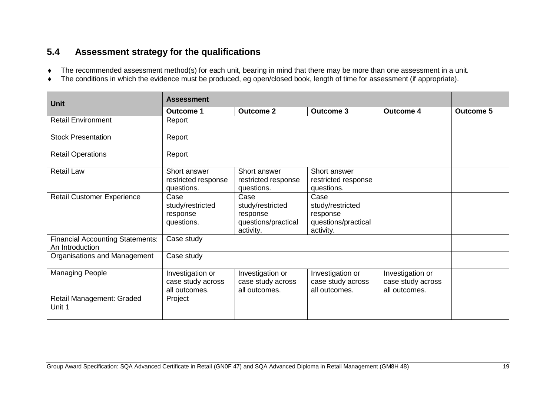## **5.4 Assessment strategy for the qualifications**

- The recommended assessment method(s) for each unit, bearing in mind that there may be more than one assessment in a unit.
- The conditions in which the evidence must be produced, eg open/closed book, length of time for assessment (if appropriate).

<span id="page-22-0"></span>

| <b>Unit</b>                                                | <b>Assessment</b>                                      |                                                                          |                                                                          |                                                        |                  |  |  |  |
|------------------------------------------------------------|--------------------------------------------------------|--------------------------------------------------------------------------|--------------------------------------------------------------------------|--------------------------------------------------------|------------------|--|--|--|
|                                                            | <b>Outcome 1</b>                                       | <b>Outcome 2</b>                                                         | <b>Outcome 3</b>                                                         | <b>Outcome 4</b>                                       | <b>Outcome 5</b> |  |  |  |
| <b>Retail Environment</b>                                  | Report                                                 |                                                                          |                                                                          |                                                        |                  |  |  |  |
| <b>Stock Presentation</b>                                  | Report                                                 |                                                                          |                                                                          |                                                        |                  |  |  |  |
| <b>Retail Operations</b>                                   | Report                                                 |                                                                          |                                                                          |                                                        |                  |  |  |  |
| <b>Retail Law</b>                                          | Short answer<br>restricted response<br>questions.      | Short answer<br>restricted response<br>questions.                        | Short answer<br>restricted response<br>questions.                        |                                                        |                  |  |  |  |
| <b>Retail Customer Experience</b>                          | Case<br>study/restricted<br>response<br>questions.     | Case<br>study/restricted<br>response<br>questions/practical<br>activity. | Case<br>study/restricted<br>response<br>questions/practical<br>activity. |                                                        |                  |  |  |  |
| <b>Financial Accounting Statements:</b><br>An Introduction | Case study                                             |                                                                          |                                                                          |                                                        |                  |  |  |  |
| Organisations and Management                               | Case study                                             |                                                                          |                                                                          |                                                        |                  |  |  |  |
| <b>Managing People</b>                                     | Investigation or<br>case study across<br>all outcomes. | Investigation or<br>case study across<br>all outcomes.                   | Investigation or<br>case study across<br>all outcomes.                   | Investigation or<br>case study across<br>all outcomes. |                  |  |  |  |
| Retail Management: Graded<br>Unit 1                        | Project                                                |                                                                          |                                                                          |                                                        |                  |  |  |  |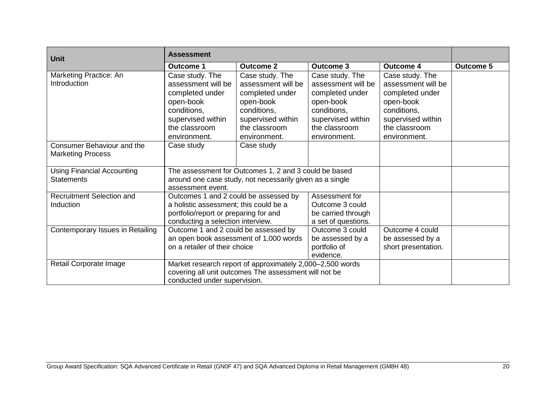| <b>Unit</b>                       | <b>Assessment</b>                      |                                                           |                     |                     |                  |
|-----------------------------------|----------------------------------------|-----------------------------------------------------------|---------------------|---------------------|------------------|
|                                   | <b>Outcome 1</b>                       | <b>Outcome 2</b>                                          | <b>Outcome 3</b>    | <b>Outcome 4</b>    | <b>Outcome 5</b> |
| Marketing Practice: An            | Case study. The                        | Case study. The                                           | Case study. The     | Case study. The     |                  |
| Introduction                      | assessment will be                     | assessment will be                                        | assessment will be  | assessment will be  |                  |
|                                   | completed under                        | completed under                                           | completed under     | completed under     |                  |
|                                   | open-book                              | open-book                                                 | open-book           | open-book           |                  |
|                                   | conditions,                            | conditions,                                               | conditions,         | conditions,         |                  |
|                                   | supervised within                      | supervised within                                         | supervised within   | supervised within   |                  |
|                                   | the classroom                          | the classroom                                             | the classroom       | the classroom       |                  |
|                                   | environment.                           | environment.                                              | environment.        | environment.        |                  |
| Consumer Behaviour and the        | Case study                             | Case study                                                |                     |                     |                  |
| <b>Marketing Process</b>          |                                        |                                                           |                     |                     |                  |
|                                   |                                        |                                                           |                     |                     |                  |
| <b>Using Financial Accounting</b> |                                        | The assessment for Outcomes 1, 2 and 3 could be based     |                     |                     |                  |
| <b>Statements</b>                 |                                        | around one case study, not necessarily given as a single  |                     |                     |                  |
|                                   | assessment event.                      |                                                           |                     |                     |                  |
| <b>Recruitment Selection and</b>  | Outcomes 1 and 2 could be assessed by  |                                                           | Assessment for      |                     |                  |
| Induction                         | a holistic assessment; this could be a |                                                           | Outcome 3 could     |                     |                  |
|                                   | portfolio/report or preparing for and  |                                                           | be carried through  |                     |                  |
|                                   | conducting a selection interview.      |                                                           | a set of questions. |                     |                  |
| Contemporary Issues in Retailing  | Outcome 1 and 2 could be assessed by   |                                                           | Outcome 3 could     | Outcome 4 could     |                  |
|                                   |                                        | an open book assessment of 1,000 words                    | be assessed by a    | be assessed by a    |                  |
|                                   | on a retailer of their choice          |                                                           | portfolio of        | short presentation. |                  |
|                                   |                                        |                                                           | evidence.           |                     |                  |
| Retail Corporate Image            |                                        | Market research report of approximately 2,000-2,500 words |                     |                     |                  |
|                                   |                                        | covering all unit outcomes The assessment will not be     |                     |                     |                  |
|                                   | conducted under supervision.           |                                                           |                     |                     |                  |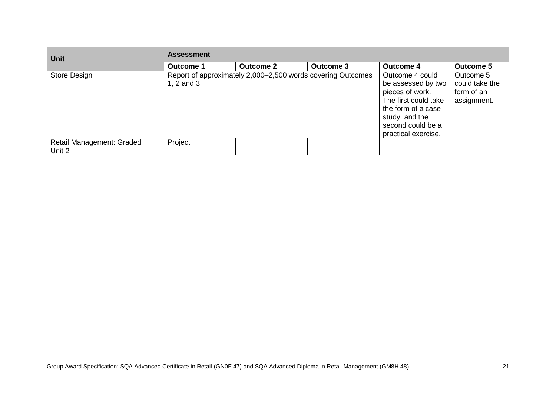| <b>Unit</b>                         | <b>Assessment</b> |                                                             |                  |                                                                                                                                                                      |                                                          |
|-------------------------------------|-------------------|-------------------------------------------------------------|------------------|----------------------------------------------------------------------------------------------------------------------------------------------------------------------|----------------------------------------------------------|
|                                     | <b>Outcome 1</b>  | <b>Outcome 2</b>                                            | <b>Outcome 3</b> | <b>Outcome 4</b>                                                                                                                                                     | <b>Outcome 5</b>                                         |
| Store Design                        | 1, $2$ and $3$    | Report of approximately 2,000–2,500 words covering Outcomes |                  | Outcome 4 could<br>be assessed by two<br>pieces of work.<br>The first could take<br>the form of a case<br>study, and the<br>second could be a<br>practical exercise. | Outcome 5<br>could take the<br>form of an<br>assignment. |
| Retail Management: Graded<br>Unit 2 | Project           |                                                             |                  |                                                                                                                                                                      |                                                          |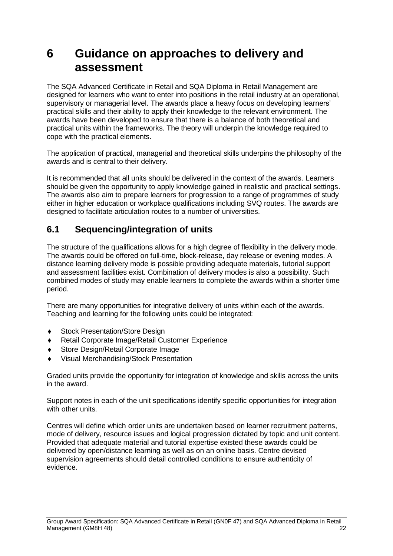## <span id="page-25-0"></span>**6 Guidance on approaches to delivery and assessment**

The SQA Advanced Certificate in Retail and SQA Diploma in Retail Management are designed for learners who want to enter into positions in the retail industry at an operational, supervisory or managerial level. The awards place a heavy focus on developing learners' practical skills and their ability to apply their knowledge to the relevant environment. The awards have been developed to ensure that there is a balance of both theoretical and practical units within the frameworks. The theory will underpin the knowledge required to cope with the practical elements.

The application of practical, managerial and theoretical skills underpins the philosophy of the awards and is central to their delivery.

It is recommended that all units should be delivered in the context of the awards. Learners should be given the opportunity to apply knowledge gained in realistic and practical settings. The awards also aim to prepare learners for progression to a range of programmes of study either in higher education or workplace qualifications including SVQ routes. The awards are designed to facilitate articulation routes to a number of universities.

### <span id="page-25-1"></span>**6.1 Sequencing/integration of units**

The structure of the qualifications allows for a high degree of flexibility in the delivery mode. The awards could be offered on full-time, block-release, day release or evening modes. A distance learning delivery mode is possible providing adequate materials, tutorial support and assessment facilities exist. Combination of delivery modes is also a possibility. Such combined modes of study may enable learners to complete the awards within a shorter time period.

There are many opportunities for integrative delivery of units within each of the awards. Teaching and learning for the following units could be integrated:

- ◆ Stock Presentation/Store Design
- Retail Corporate Image/Retail Customer Experience
- Store Design/Retail Corporate Image
- Visual Merchandising/Stock Presentation

Graded units provide the opportunity for integration of knowledge and skills across the units in the award.

Support notes in each of the unit specifications identify specific opportunities for integration with other units.

Centres will define which order units are undertaken based on learner recruitment patterns, mode of delivery, resource issues and logical progression dictated by topic and unit content. Provided that adequate material and tutorial expertise existed these awards could be delivered by open/distance learning as well as on an online basis. Centre devised supervision agreements should detail controlled conditions to ensure authenticity of evidence.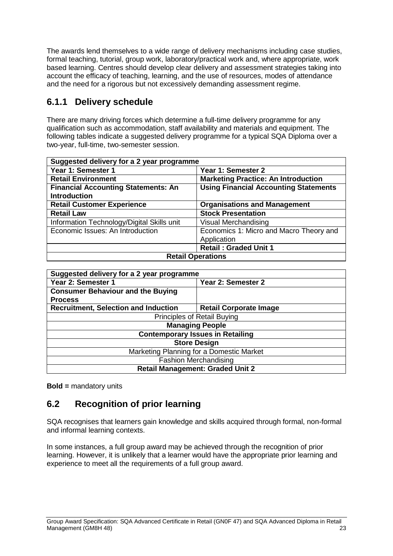The awards lend themselves to a wide range of delivery mechanisms including case studies, formal teaching, tutorial, group work, laboratory/practical work and, where appropriate, work based learning. Centres should develop clear delivery and assessment strategies taking into account the efficacy of teaching, learning, and the use of resources, modes of attendance and the need for a rigorous but not excessively demanding assessment regime.

### **6.1.1 Delivery schedule**

There are many driving forces which determine a full-time delivery programme for any qualification such as accommodation, staff availability and materials and equipment. The following tables indicate a suggested delivery programme for a typical SQA Diploma over a two-year, full-time, two-semester session.

| Suggested delivery for a 2 year programme  |                                              |  |  |  |  |
|--------------------------------------------|----------------------------------------------|--|--|--|--|
| Year 1: Semester 1                         | Year 1: Semester 2                           |  |  |  |  |
| <b>Retail Environment</b>                  | <b>Marketing Practice: An Introduction</b>   |  |  |  |  |
| <b>Financial Accounting Statements: An</b> | <b>Using Financial Accounting Statements</b> |  |  |  |  |
| <b>Introduction</b>                        |                                              |  |  |  |  |
| <b>Retail Customer Experience</b>          | <b>Organisations and Management</b>          |  |  |  |  |
| <b>Retail Law</b>                          | <b>Stock Presentation</b>                    |  |  |  |  |
| Information Technology/Digital Skills unit | <b>Visual Merchandising</b>                  |  |  |  |  |
| Economic Issues: An Introduction           | Economics 1: Micro and Macro Theory and      |  |  |  |  |
|                                            | Application                                  |  |  |  |  |
|                                            | <b>Retail: Graded Unit 1</b>                 |  |  |  |  |
| <b>Retail Operations</b>                   |                                              |  |  |  |  |

| Suggested delivery for a 2 year programme   |                                          |  |  |  |  |  |  |
|---------------------------------------------|------------------------------------------|--|--|--|--|--|--|
| Year 2: Semester 1<br>Year 2: Semester 2    |                                          |  |  |  |  |  |  |
| <b>Consumer Behaviour and the Buying</b>    |                                          |  |  |  |  |  |  |
| <b>Process</b>                              |                                          |  |  |  |  |  |  |
| <b>Recruitment, Selection and Induction</b> | <b>Retail Corporate Image</b>            |  |  |  |  |  |  |
| Principles of Retail Buying                 |                                          |  |  |  |  |  |  |
| <b>Managing People</b>                      |                                          |  |  |  |  |  |  |
| <b>Contemporary Issues in Retailing</b>     |                                          |  |  |  |  |  |  |
|                                             | <b>Store Design</b>                      |  |  |  |  |  |  |
|                                             | Marketing Planning for a Domestic Market |  |  |  |  |  |  |
| <b>Fashion Merchandising</b>                |                                          |  |  |  |  |  |  |
| <b>Retail Management: Graded Unit 2</b>     |                                          |  |  |  |  |  |  |

**Bold =** mandatory units

### <span id="page-26-0"></span>**6.2 Recognition of prior learning**

SQA recognises that learners gain knowledge and skills acquired through formal, non-formal and informal learning contexts.

In some instances, a full group award may be achieved through the recognition of prior learning. However, it is unlikely that a learner would have the appropriate prior learning and experience to meet all the requirements of a full group award.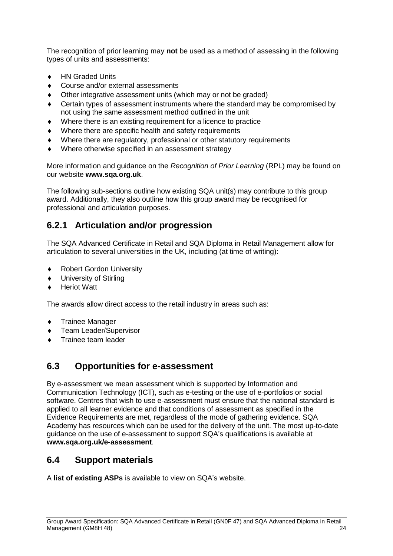The recognition of prior learning may **not** be used as a method of assessing in the following types of units and assessments:

- ◆ HN Graded Units
- ◆ Course and/or external assessments
- Other integrative assessment units (which may or not be graded)
- Certain types of assessment instruments where the standard may be compromised by not using the same assessment method outlined in the unit
- Where there is an existing requirement for a licence to practice
- Where there are specific health and safety requirements
- Where there are regulatory, professional or other statutory requirements
- Where otherwise specified in an assessment strategy

More information and guidance on the *Recognition of Prior Learning* (RPL) may be found on our website **[www.sqa.org.uk](http://www.sqa.org.uk/)**.

The following sub-sections outline how existing SQA unit(s) may contribute to this group award. Additionally, they also outline how this group award may be recognised for professional and articulation purposes.

### **6.2.1 Articulation and/or progression**

The SQA Advanced Certificate in Retail and SQA Diploma in Retail Management allow for articulation to several universities in the UK, including (at time of writing):

- ◆ Robert Gordon University
- University of Stirling
- Heriot Watt

The awards allow direct access to the retail industry in areas such as:

- ◆ Trainee Manager
- Team Leader/Supervisor
- Trainee team leader

#### <span id="page-27-0"></span>**6.3 Opportunities for e-assessment**

By e-assessment we mean assessment which is supported by Information and Communication Technology (ICT), such as e-testing or the use of e-portfolios or social software. Centres that wish to use e-assessment must ensure that the national standard is applied to all learner evidence and that conditions of assessment as specified in the Evidence Requirements are met, regardless of the mode of gathering evidence. SQA Academy has resources which can be used for the delivery of the unit. The most up-to-date guidance on the use of e-assessment to support SQA's qualifications is available at **[www.sqa.org.uk/e-assessment](http://www.sqa.org.uk/e-assessment)**.

### <span id="page-27-1"></span>**6.4 Support materials**

A **list of [existing ASPs](http://www.sqa.org.uk/sqa/46233.2769.html)** is available to view on SQA's website.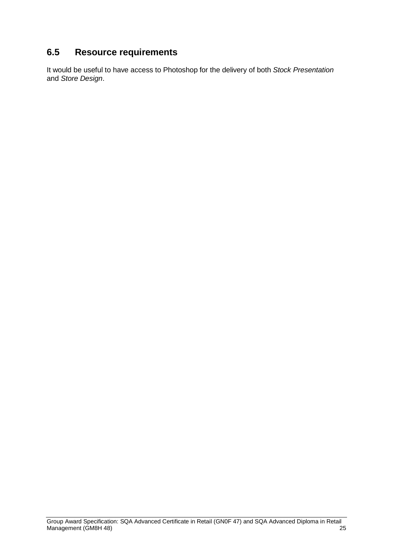## <span id="page-28-0"></span>**6.5 Resource requirements**

It would be useful to have access to Photoshop for the delivery of both *Stock Presentation* and *Store Design*.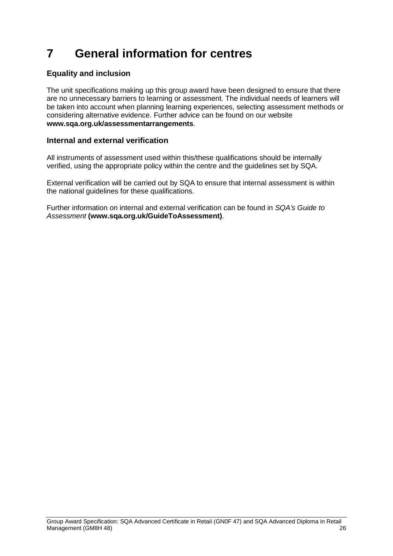# <span id="page-29-0"></span>**7 General information for centres**

#### **Equality and inclusion**

The unit specifications making up this group award have been designed to ensure that there are no unnecessary barriers to learning or assessment. The individual needs of learners will be taken into account when planning learning experiences, selecting assessment methods or considering alternative evidence. Further advice can be found on our website **[www.sqa.org.uk/assessmentarrangements](http://www.sqa.org.uk/sqa/14977.html)**.

#### **Internal and external verification**

All instruments of assessment used within this/these qualifications should be internally verified, using the appropriate policy within the centre and the guidelines set by SQA.

External verification will be carried out by SQA to ensure that internal assessment is within the national guidelines for these qualifications.

Further information on internal and external verification can be found in *SQA's Guide to Assessment* **[\(www.sqa.org.uk/GuideToAssessment\)](http://www.sqa.org.uk/sqa/files_ccc/GuideToAssessment.pdf)**.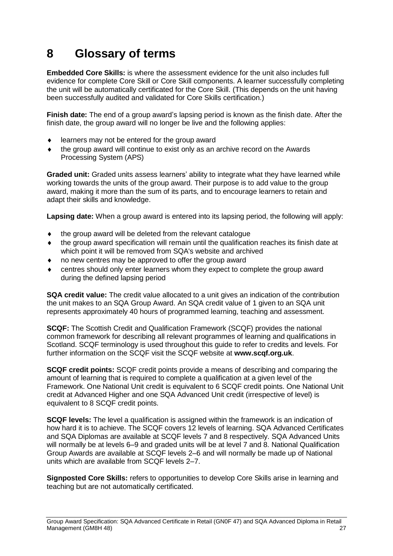# <span id="page-30-0"></span>**8 Glossary of terms**

**Embedded Core Skills:** is where the assessment evidence for the unit also includes full evidence for complete Core Skill or Core Skill components. A learner successfully completing the unit will be automatically certificated for the Core Skill. (This depends on the unit having been successfully audited and validated for Core Skills certification.)

**Finish date:** The end of a group award's lapsing period is known as the finish date. After the finish date, the group award will no longer be live and the following applies:

- ◆ learners may not be entered for the group award
- the group award will continue to exist only as an archive record on the Awards Processing System (APS)

**Graded unit:** Graded units assess learners' ability to integrate what they have learned while working towards the units of the group award. Their purpose is to add value to the group award, making it more than the sum of its parts, and to encourage learners to retain and adapt their skills and knowledge.

**Lapsing date:** When a group award is entered into its lapsing period, the following will apply:

- the group award will be deleted from the relevant catalogue
- the group award specification will remain until the qualification reaches its finish date at which point it will be removed from SQA's website and archived
- no new centres may be approved to offer the group award
- centres should only enter learners whom they expect to complete the group award during the defined lapsing period

**SQA credit value:** The credit value allocated to a unit gives an indication of the contribution the unit makes to an SQA Group Award. An SQA credit value of 1 given to an SQA unit represents approximately 40 hours of programmed learning, teaching and assessment.

**SCQF:** The Scottish Credit and Qualification Framework (SCQF) provides the national common framework for describing all relevant programmes of learning and qualifications in Scotland. SCQF terminology is used throughout this guide to refer to credits and levels. For further information on the SCQF visit the SCQF website at **[www.scqf.org.uk](http://www.scqf.org.uk/)**.

**SCQF credit points:** SCQF credit points provide a means of describing and comparing the amount of learning that is required to complete a qualification at a given level of the Framework. One National Unit credit is equivalent to 6 SCQF credit points. One National Unit credit at Advanced Higher and one SQA Advanced Unit credit (irrespective of level) is equivalent to 8 SCQF credit points.

**SCQF levels:** The level a qualification is assigned within the framework is an indication of how hard it is to achieve. The SCQF covers 12 levels of learning. SQA Advanced Certificates and SQA Diplomas are available at SCQF levels 7 and 8 respectively. SQA Advanced Units will normally be at levels 6–9 and graded units will be at level 7 and 8. National Qualification Group Awards are available at SCQF levels 2–6 and will normally be made up of National units which are available from SCQF levels 2–7.

**Signposted Core Skills:** refers to opportunities to develop Core Skills arise in learning and teaching but are not automatically certificated.